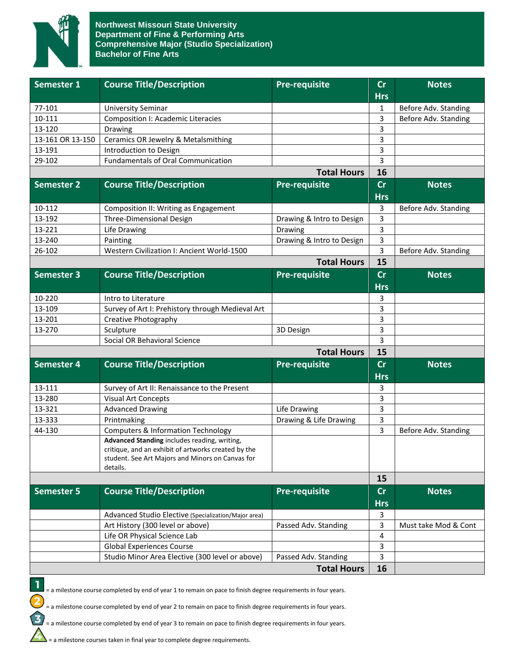

| Semester 1         | <b>Course Title/Description</b>                                     | <b>Pre-requisite</b>      | cr            | <b>Notes</b>         |
|--------------------|---------------------------------------------------------------------|---------------------------|---------------|----------------------|
|                    |                                                                     |                           | <b>Hrs</b>    |                      |
| 77-101             | <b>University Seminar</b>                                           |                           | 1             | Before Adv. Standing |
| 10-111             | <b>Composition I: Academic Literacies</b>                           |                           | 3             | Before Adv. Standing |
| 13-120             | Drawing                                                             |                           | 3             |                      |
| 13-161 OR 13-150   | Ceramics OR Jewelry & Metalsmithing                                 |                           | 3             |                      |
| 13-191             | Introduction to Design<br><b>Fundamentals of Oral Communication</b> |                           | 3             |                      |
| 29-102             |                                                                     |                           | 3<br>16       |                      |
| <b>Total Hours</b> |                                                                     |                           |               |                      |
| <b>Semester 2</b>  | <b>Course Title/Description</b>                                     | <b>Pre-requisite</b>      | cr            | <b>Notes</b>         |
|                    |                                                                     |                           | <b>Hrs</b>    |                      |
| 10-112             | Composition II: Writing as Engagement                               |                           | 3             | Before Adv. Standing |
| 13-192             | Three-Dimensional Design                                            | Drawing & Intro to Design | 3             |                      |
| 13-221             | Life Drawing                                                        | Drawing                   | 3             |                      |
| 13-240             | Painting                                                            | Drawing & Intro to Design | 3             |                      |
| 26-102             | Western Civilization I: Ancient World-1500                          |                           | 3             | Before Adv. Standing |
| <b>Total Hours</b> |                                                                     |                           |               |                      |
| <b>Semester 3</b>  | <b>Course Title/Description</b>                                     | <b>Pre-requisite</b>      | $\mathsf{Cr}$ | <b>Notes</b>         |
|                    |                                                                     |                           | <b>Hrs</b>    |                      |
| 10-220             | Intro to Literature                                                 |                           | 3             |                      |
| 13-109             | Survey of Art I: Prehistory through Medieval Art                    |                           | 3             |                      |
| 13-201             | Creative Photography                                                |                           | 3             |                      |
| 13-270             | Sculpture                                                           | 3D Design                 | 3             |                      |
|                    | Social OR Behavioral Science                                        |                           | 3             |                      |
| <b>Total Hours</b> |                                                                     |                           | 15            |                      |
| <b>Semester 4</b>  | <b>Course Title/Description</b>                                     | <b>Pre-requisite</b>      | $\mathsf{Cr}$ | <b>Notes</b>         |
|                    |                                                                     |                           | <b>Hrs</b>    |                      |
| 13-111             | Survey of Art II: Renaissance to the Present                        |                           | 3             |                      |
| 13-280             | <b>Visual Art Concepts</b>                                          |                           | 3             |                      |
| 13-321             | <b>Advanced Drawing</b>                                             | Life Drawing              | 3             |                      |
| 13-333             | Printmaking                                                         | Drawing & Life Drawing    | 3             |                      |
| 44-130             | <b>Computers &amp; Information Technology</b>                       |                           | 3             | Before Adv. Standing |
|                    | Advanced Standing includes reading, writing,                        |                           |               |                      |
|                    | critique, and an exhibit of artworks created by the                 |                           |               |                      |
|                    | student. See Art Majors and Minors on Canvas for                    |                           |               |                      |
|                    | details.                                                            |                           | 15            |                      |
|                    |                                                                     |                           |               |                      |
| <b>Semester 5</b>  | <b>Course Title/Description</b>                                     | <b>Pre-requisite</b>      | cr            | <b>Notes</b>         |
|                    |                                                                     |                           | <b>Hrs</b>    |                      |
|                    | Advanced Studio Elective (Specialization/Major area)                |                           | 3             |                      |
|                    | Art History (300 level or above)                                    | Passed Adv. Standing      | 3             | Must take Mod & Cont |
|                    | Life OR Physical Science Lab                                        |                           | 4             |                      |
|                    | <b>Global Experiences Course</b>                                    |                           | 3             |                      |
|                    | Studio Minor Area Elective (300 level or above)                     | Passed Adv. Standing      | 3             |                      |
| <b>Total Hours</b> |                                                                     |                           |               |                      |



= a milestone course completed by end of year 1 to remain on pace to finish degree requirements in four years.

= a milestone course completed by end of year 2 to remain on pace to finish degree requirements in four years.

= a milestone course completed by end of year 3 to remain on pace to finish degree requirements in four years.

 $\sum$  = a milestone courses taken in final year to complete degree requirements.